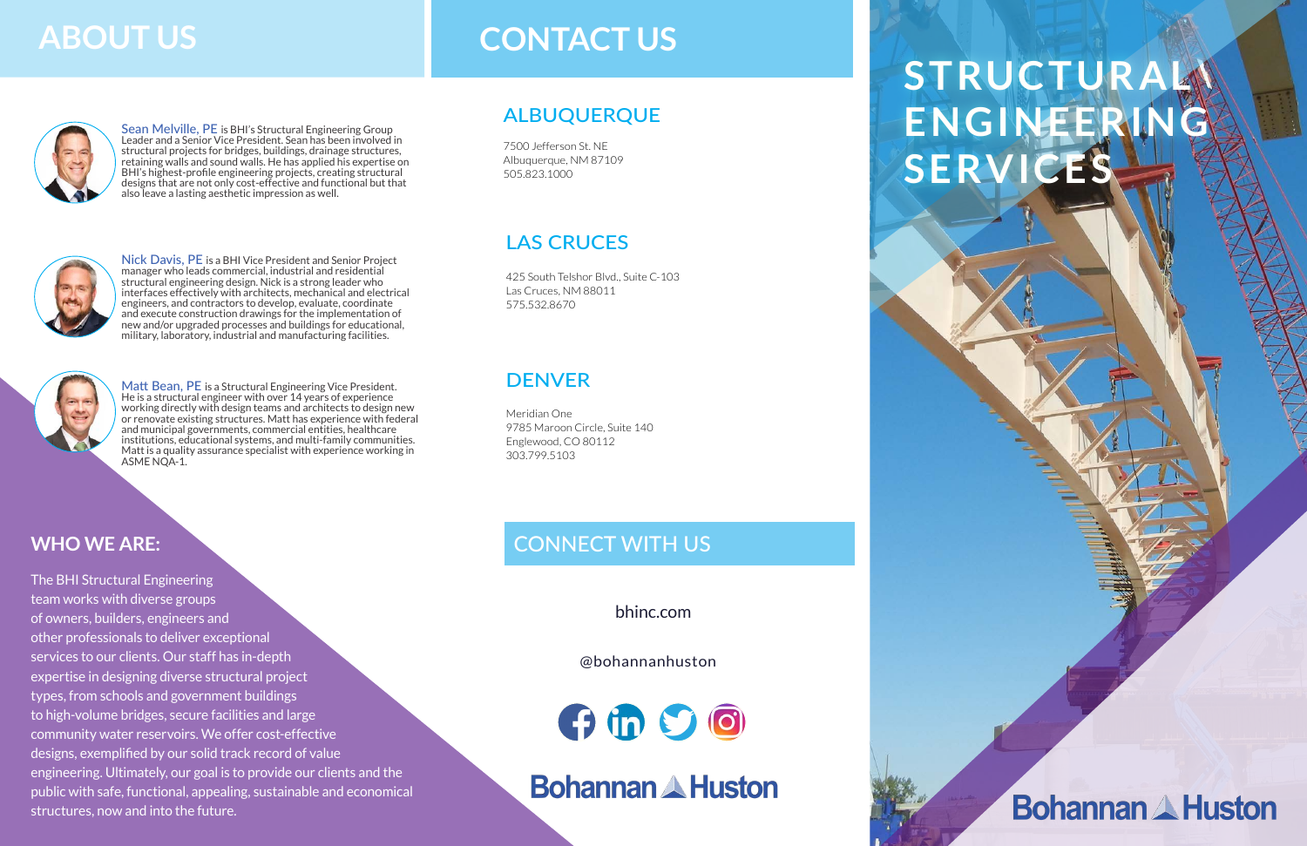Nick Davis, PE is a BHI Vice President and Senior Project manager who leads commercial, industrial and residential structural engineering design. Nick is a strong leader who interfaces effectively with architects, mechanical and electrical engineers, and contractors to develop, evaluate, coordinate and execute construction drawings for the implementation of new and/or upgraded processes and buildings for educational, military, laboratory, industrial and manufacturing facilities.



Matt Bean, PE is a Structural Engineering Vice President. He is a structural engineer with over 14 years of experience working directly with design teams and architects to design new or renovate existing structures. Matt has experience with federal and municipal governments, commercial entities, healthcare institutions, educational systems, and multi-family communities. Matt is a quality assurance specialist with experience working in ASME NOA-1.

Sean Melville, PE is BHI's Structural Engineering Group Leader and a Senior Vice President. Sean has been involved in structural projects for bridges, buildings, drainage structures, retaining walls and sound walls. He has applied his expertise on BHI's highest-profile engineering projects, creating structural designs that are not only cost-effective and functional but that also leave a lasting aesthetic impression as well.



# **STRUCTURAL ENGINEERING SERVICES**

**Bohannan A Huston** 

bhinc.com

#### **WHO WE ARE:**

The BHI Structural Engineering team works with diverse groups of owners, builders, engineers and other professionals to deliver exceptional services to our clients. Our staff has in-depth expertise in designing diverse structural project types, from schools and government buildings to high-volume bridges, secure facilities and large community water reservoirs. We offer cost-effective designs, exemplified by our solid track record of value engineering. Ultimately, our goal is to provide our clients and the public with safe, functional, appealing, sustainable and economical structures, now and into the future.

# **CONTACT US**



### ALBUQUERQUE

### LAS CRUCES

7500 Jefferson St. NE Albuquerque, NM 87109 505.823.1000

425 South Telshor Blvd., Suite C-103 Las Cruces, NM 88011 575.532.8670

### **DENVER**

Meridian One 9785 Maroon Circle, Suite 140 Englewood, CO 80112 303.799.5103

### CONNECT WITH US

#### @bohannanhuston

 $f$  in  $S$   $\odot$ 

**Bohannan & Huston** 

# **ABOUT US**